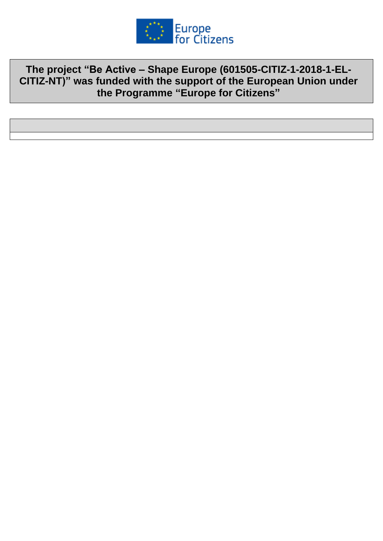

**The project "Be Active – Shape Europe (601505-CITIZ-1-2018-1-EL-CITIZ-NT)" was funded with the support of the European Union under the Programme "Europe for Citizens"**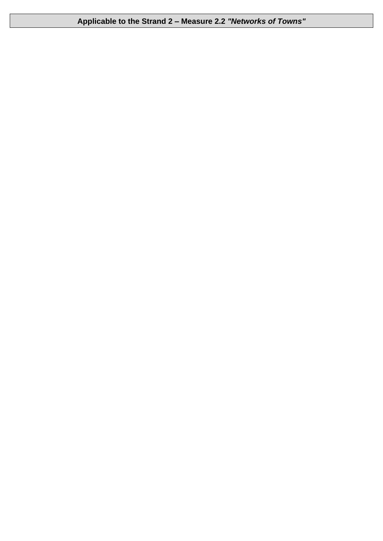**Applicable to the Strand 2 – Measure 2.2** *"Networks of Towns"*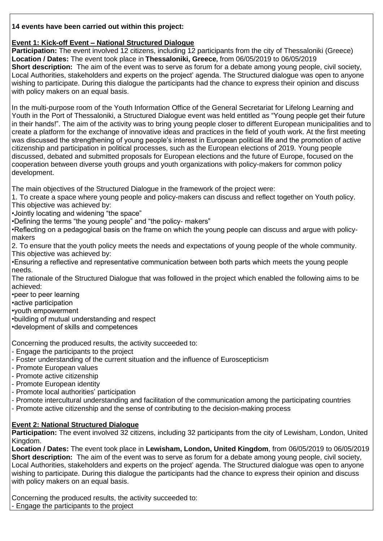## **14 events have been carried out within this project:**

## **Event 1: Kick-off Event – National Structured Dialogue**

**Participation:** The event involved 12 citizens, including 12 participants from the city of Thessaloniki (Greece) **Location / Dates:** The event took place in **Thessaloniki, Greece,** from 06/05/2019 to 06/05/2019 **Short description:** The aim of the event was to serve as forum for a debate among young people, civil society, Local Authorities, stakeholders and experts on the project' agenda. The Structured dialogue was open to anyone wishing to participate. During this dialogue the participants had the chance to express their opinion and discuss with policy makers on an equal basis.

In the multi-purpose room of the Youth Information Office of the General Secretariat for Lifelong Learning and Youth in the Port of Thessaloniki, a Structured Dialogue event was held entitled as "Young people get their future in their hands!". The aim of the activity was to bring young people closer to different European municipalities and to create a platform for the exchange of innovative ideas and practices in the field of youth work. At the first meeting was discussed the strengthening of young people's interest in European political life and the promotion of active citizenship and participation in political processes, such as the European elections of 2019. Young people discussed, debated and submitted proposals for European elections and the future of Europe, focused on the cooperation between diverse youth groups and youth organizations with policy-makers for common policy development.

The main objectives of the Structured Dialogue in the framework of the project were:

1. To create a space where young people and policy-makers can discuss and reflect together on Youth policy. This objective was achieved by:

•Jointly locating and widening "the space"

•Defining the terms "the young people" and "the policy- makers"

•Reflecting on a pedagogical basis on the frame on which the young people can discuss and argue with policymakers

2. To ensure that the youth policy meets the needs and expectations of young people of the whole community. This objective was achieved by:

•Ensuring a reflective and representative communication between both parts which meets the young people needs.

The rationale of the Structured Dialogue that was followed in the project which enabled the following aims to be achieved:

•peer to peer learning

•active participation

•youth empowerment

•building of mutual understanding and respect

•development of skills and competences

Concerning the produced results, the activity succeeded to:

- Engage the participants to the project
- Foster understanding of the current situation and the influence of Euroscepticism
- Promote European values
- Promote active citizenship
- Promote European identity
- Promote local authorities' participation
- Promote intercultural understanding and facilitation of the communication among the participating countries
- Promote active citizenship and the sense of contributing to the decision-making process

# **Event 2: National Structured Dialogue**

**Participation:** The event involved 32 citizens, including 32 participants from the city of Lewisham, London, United Kingdom.

**Location / Dates:** The event took place in **Lewisham, London, United Kingdom**, from 06/05/2019 to 06/05/2019 **Short description:** The aim of the event was to serve as forum for a debate among young people, civil society, Local Authorities, stakeholders and experts on the project' agenda. The Structured dialogue was open to anyone wishing to participate. During this dialogue the participants had the chance to express their opinion and discuss with policy makers on an equal basis.

Concerning the produced results, the activity succeeded to: - Engage the participants to the project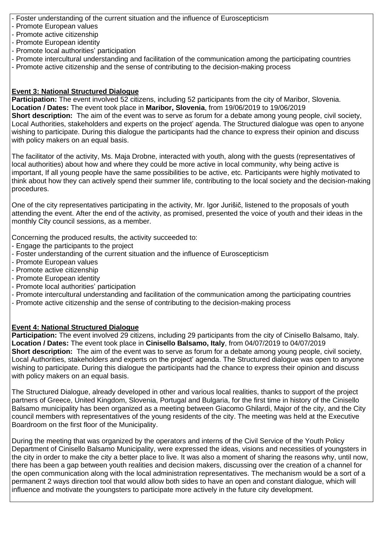- Foster understanding of the current situation and the influence of Euroscepticism

- Promote European values
- Promote active citizenship
- Promote European identity
- Promote local authorities' participation
- Promote intercultural understanding and facilitation of the communication among the participating countries
- Promote active citizenship and the sense of contributing to the decision-making process

## **Event 3: National Structured Dialogue**

**Participation:** The event involved 52 citizens, including 52 participants from the city of Maribor, Slovenia. **Location / Dates:** The event took place in **Maribor, Slovenia**, from 19/06/2019 to 19/06/2019 **Short description:** The aim of the event was to serve as forum for a debate among young people, civil society, Local Authorities, stakeholders and experts on the project' agenda. The Structured dialogue was open to anyone wishing to participate. During this dialogue the participants had the chance to express their opinion and discuss with policy makers on an equal basis.

The facilitator of the activity, Ms. Maja Drobne, interacted with youth, along with the guests (representatives of local authorities) about how and where they could be more active in local community, why being active is important, If all young people have the same possibilities to be active, etc. Participants were highly motivated to think about how they can actively spend their summer life, contributing to the local society and the decision-making procedures.

One of the city representatives participating in the activity, Mr. Igor Jurišič, listened to the proposals of youth attending the event. After the end of the activity, as promised, presented the voice of youth and their ideas in the monthly City council sessions, as a member.

Concerning the produced results, the activity succeeded to:

- Engage the participants to the project
- Foster understanding of the current situation and the influence of Euroscepticism
- Promote European values
- Promote active citizenship
- Promote European identity
- Promote local authorities' participation
- Promote intercultural understanding and facilitation of the communication among the participating countries
- Promote active citizenship and the sense of contributing to the decision-making process

## **Event 4: National Structured Dialogue**

**Participation:** The event involved 29 citizens, including 29 participants from the city of Cinisello Balsamo, Italy. **Location / Dates:** The event took place in **Cinisello Balsamo, Italy**, from 04/07/2019 to 04/07/2019 **Short description:** The aim of the event was to serve as forum for a debate among young people, civil society, Local Authorities, stakeholders and experts on the project' agenda. The Structured dialogue was open to anyone wishing to participate. During this dialogue the participants had the chance to express their opinion and discuss with policy makers on an equal basis.

The Structured Dialogue, already developed in other and various local realities, thanks to support of the project partners of Greece, United Kingdom, Slovenia, Portugal and Bulgaria, for the first time in history of the Cinisello Balsamo municipality has been organized as a meeting between Giacomo Ghilardi, Major of the city, and the City council members with representatives of the young residents of the city. The meeting was held at the Executive Boardroom on the first floor of the Municipality.

During the meeting that was organized by the operators and interns of the Civil Service of the Youth Policy Department of Cinisello Balsamo Municipality, were expressed the ideas, visions and necessities of youngsters in the city in order to make the city a better place to live. It was also a moment of sharing the reasons why, until now, there has been a gap between youth realities and decision makers, discussing over the creation of a channel for the open communication along with the local administration representatives. The mechanism would be a sort of a permanent 2 ways direction tool that would allow both sides to have an open and constant dialogue, which will influence and motivate the youngsters to participate more actively in the future city development.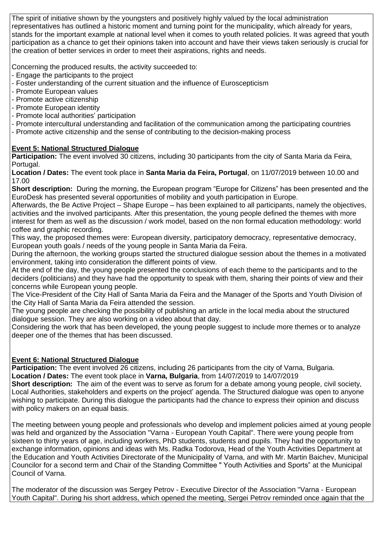The spirit of initiative shown by the youngsters and positively highly valued by the local administration representatives has outlined a historic moment and turning point for the municipality, which already for years, stands for the important example at national level when it comes to youth related policies. It was agreed that youth participation as a chance to get their opinions taken into account and have their views taken seriously is crucial for the creation of better services in order to meet their aspirations, rights and needs.

Concerning the produced results, the activity succeeded to:

- Engage the participants to the project
- Foster understanding of the current situation and the influence of Euroscepticism
- Promote European values
- Promote active citizenship
- Promote European identity
- Promote local authorities' participation
- Promote intercultural understanding and facilitation of the communication among the participating countries
- Promote active citizenship and the sense of contributing to the decision-making process

## **Event 5: National Structured Dialogue**

**Participation:** The event involved 30 citizens, including 30 participants from the city of Santa Maria da Feira, Portugal.

**Location / Dates:** The event took place in **Santa Maria da Feira, Portugal**, on 11/07/2019 between 10.00 and 17.00

**Short description:** During the morning, the European program "Europe for Citizens" has been presented and the EuroDesk has presented several opportunities of mobility and youth participation in Europe.

Afterwards, the Be Active Project – Shape Europe – has been explained to all participants, namely the objectives, activities and the involved participants. After this presentation, the young people defined the themes with more interest for them as well as the discussion / work model, based on the non formal education methodology: world coffee and graphic recording.

This way, the proposed themes were: European diversity, participatory democracy, representative democracy, European youth goals / needs of the young people in Santa Maria da Feira.

During the afternoon, the working groups started the structured dialogue session about the themes in a motivated environment, taking into consideration the different points of view.

At the end of the day, the young people presented the conclusions of each theme to the participants and to the deciders (politicians) and they have had the opportunity to speak with them, sharing their points of view and their concerns while European young people.

The Vice-President of the City Hall of Santa Maria da Feira and the Manager of the Sports and Youth Division of the City Hall of Santa Maria da Feira attended the session.

The young people are checking the possibility of publishing an article in the local media about the structured dialogue session. They are also working on a video about that day.

Considering the work that has been developed, the young people suggest to include more themes or to analyze deeper one of the themes that has been discussed.

## **Event 6: National Structured Dialogue**

**Participation:** The event involved 26 citizens, including 26 participants from the city of Varna, Bulgaria. **Location / Dates:** The event took place in **Varna, Bulgaria**, from 14/07/2019 to 14/07/2019

**Short description:** The aim of the event was to serve as forum for a debate among young people, civil society, Local Authorities, stakeholders and experts on the project' agenda. The Structured dialogue was open to anyone wishing to participate. During this dialogue the participants had the chance to express their opinion and discuss with policy makers on an equal basis.

The meeting between young people and professionals who develop and implement policies aimed at young people was held and organized by the Association "Varna - European Youth Capital". There were young people from sixteen to thirty years of age, including workers, PhD students, students and pupils. They had the opportunity to exchange information, opinions and ideas with Ms. Radka Todorova, Head of the Youth Activities Department at the Education and Youth Activities Directorate of the Municipality of Varna, and with Mr. Martin Baichev, Municipal Councilor for a second term and Chair of the Standing Committee " Youth Activities and Sports" at the Municipal Council of Varna.

The moderator of the discussion was Sergey Petrov - Executive Director of the Association "Varna - European Youth Capital". During his short address, which opened the meeting, Sergei Petrov reminded once again that the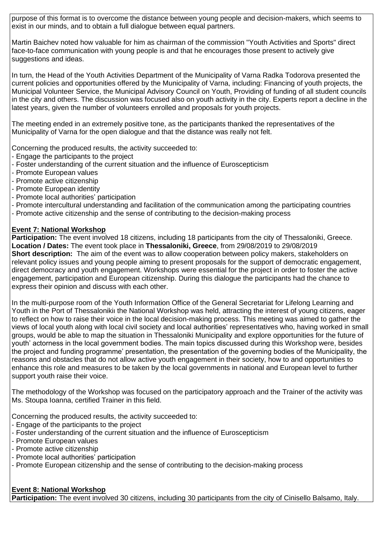purpose of this format is to overcome the distance between young people and decision-makers, which seems to exist in our minds, and to obtain a full dialogue between equal partners.

Martin Baichev noted how valuable for him as chairman of the commission "Youth Activities and Sports" direct face-to-face communication with young people is and that he encourages those present to actively give suggestions and ideas.

In turn, the Head of the Youth Activities Department of the Municipality of Varna Radka Todorova presented the current policies and opportunities offered by the Municipality of Varna, including: Financing of youth projects, the Municipal Volunteer Service, the Municipal Advisory Council on Youth, Providing of funding of all student councils in the city and others. The discussion was focused also on youth activity in the city. Experts report a decline in the latest years, given the number of volunteers enrolled and proposals for youth projects.

The meeting ended in an extremely positive tone, as the participants thanked the representatives of the Municipality of Varna for the open dialogue and that the distance was really not felt.

Concerning the produced results, the activity succeeded to:

- Engage the participants to the project
- Foster understanding of the current situation and the influence of Euroscepticism
- Promote European values
- Promote active citizenship
- Promote European identity
- Promote local authorities' participation
- Promote intercultural understanding and facilitation of the communication among the participating countries
- Promote active citizenship and the sense of contributing to the decision-making process

## **Event 7: National Workshop**

**Participation:** The event involved 18 citizens, including 18 participants from the city of Thessaloniki, Greece. **Location / Dates:** The event took place in **Thessaloniki, Greece**, from 29/08/2019 to 29/08/2019 **Short description:** The aim of the event was to allow cooperation between policy makers, stakeholders on relevant policy issues and young people aiming to present proposals for the support of democratic engagement, direct democracy and youth engagement. Workshops were essential for the project in order to foster the active engagement, participation and European citizenship. During this dialogue the participants had the chance to express their opinion and discuss with each other.

In the multi-purpose room of the Youth Information Office of the General Secretariat for Lifelong Learning and Youth in the Port of Thessalonikiι the National Workshop was held, attracting the interest of young citizens, eager to reflect on how to raise their voice in the local decision-making process. This meeting was aimed to gather the views of local youth along with local civil society and local authorities' representatives who, having worked in small groups, would be able to map the situation in Thessaloniki Municipality and explore opportunities for the future of youth' actorness in the local government bodies. The main topics discussed during this Workshop were, besides the project and funding programme' presentation, the presentation of the governing bodies of the Municipality, the reasons and obstacles that do not allow active youth engagement in their society, how to and opportunities to enhance this role and measures to be taken by the local governments in national and European level to further support youth raise their voice.

The methodology of the Workshop was focused on the participatory approach and the Trainer of the activity was Ms. Stoupa Ioanna, certified Trainer in this field.

Concerning the produced results, the activity succeeded to:

- Engage of the participants to the project
- Foster understanding of the current situation and the influence of Euroscepticism
- Promote European values
- Promote active citizenship
- Promote local authorities' participation
- Promote European citizenship and the sense of contributing to the decision-making process

#### **Event 8: National Workshop**

**Participation:** The event involved 30 citizens, including 30 participants from the city of Cinisello Balsamo, Italy.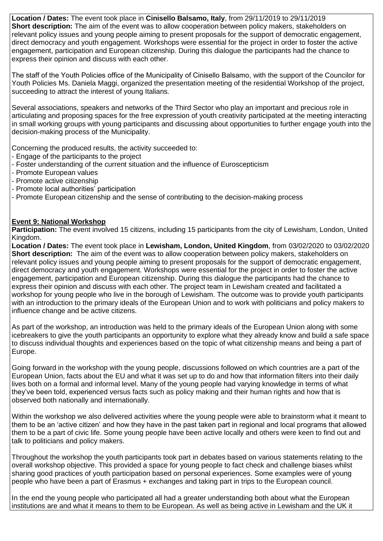**Location / Dates:** The event took place in **Cinisello Balsamo, Italy**, from 29/11/2019 to 29/11/2019 **Short description:** The aim of the event was to allow cooperation between policy makers, stakeholders on relevant policy issues and young people aiming to present proposals for the support of democratic engagement, direct democracy and youth engagement. Workshops were essential for the project in order to foster the active engagement, participation and European citizenship. During this dialogue the participants had the chance to express their opinion and discuss with each other.

Τhe staff of the Youth Policies office of the Municipality of Cinisello Balsamo, with the support of the Councilor for Youth Policies Ms. Daniela Maggi, organized the presentation meeting of the residential Workshop of the project, succeeding to attract the interest of young Italians.

Several associations, speakers and networks of the Third Sector who play an important and precious role in articulating and proposing spaces for the free expression of youth creativity participated at the meeting interacting in small working groups with young participants and discussing about opportunities to further engage youth into the decision-making process of the Municipality.

Concerning the produced results, the activity succeeded to:

- Engage of the participants to the project
- Foster understanding of the current situation and the influence of Euroscepticism
- Promote European values
- Promote active citizenship
- Promote local authorities' participation
- Promote European citizenship and the sense of contributing to the decision-making process

## **Event 9: National Workshop**

**Participation:** The event involved 15 citizens, including 15 participants from the city of Lewisham, London, United Kingdom.

**Location / Dates:** The event took place in **Lewisham, London, United Kingdom**, from 03/02/2020 to 03/02/2020 **Short description:** The aim of the event was to allow cooperation between policy makers, stakeholders on relevant policy issues and young people aiming to present proposals for the support of democratic engagement, direct democracy and youth engagement. Workshops were essential for the project in order to foster the active engagement, participation and European citizenship. During this dialogue the participants had the chance to express their opinion and discuss with each other. The project team in Lewisham created and facilitated a workshop for young people who live in the borough of Lewisham. The outcome was to provide youth participants with an introduction to the primary ideals of the European Union and to work with politicians and policy makers to influence change and be active citizens.

As part of the workshop, an introduction was held to the primary ideals of the European Union along with some icebreakers to give the youth participants an opportunity to explore what they already know and build a safe space to discuss individual thoughts and experiences based on the topic of what citizenship means and being a part of Europe.

Going forward in the workshop with the young people, discussions followed on which countries are a part of the European Union, facts about the EU and what it was set up to do and how that information filters into their daily lives both on a formal and informal level. Many of the young people had varying knowledge in terms of what they've been told, experienced versus facts such as policy making and their human rights and how that is observed both nationally and internationally.

Within the workshop we also delivered activities where the young people were able to brainstorm what it meant to them to be an 'active citizen' and how they have in the past taken part in regional and local programs that allowed them to be a part of civic life. Some young people have been active locally and others were keen to find out and talk to politicians and policy makers.

Throughout the workshop the youth participants took part in debates based on various statements relating to the overall workshop objective. This provided a space for young people to fact check and challenge biases whilst sharing good practices of youth participation based on personal experiences. Some examples were of young people who have been a part of Erasmus + exchanges and taking part in trips to the European council.

In the end the young people who participated all had a greater understanding both about what the European institutions are and what it means to them to be European. As well as being active in Lewisham and the UK it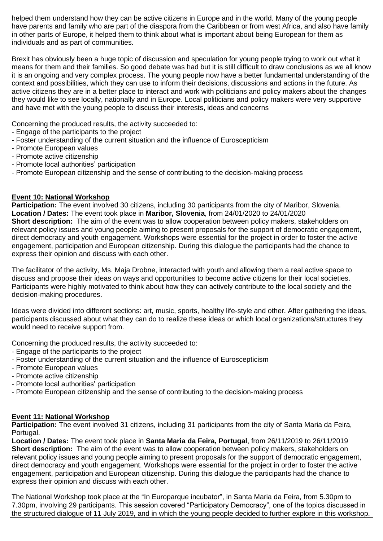helped them understand how they can be active citizens in Europe and in the world. Many of the young people have parents and family who are part of the diaspora from the Caribbean or from west Africa, and also have family in other parts of Europe, it helped them to think about what is important about being European for them as individuals and as part of communities.

Brexit has obviously been a huge topic of discussion and speculation for young people trying to work out what it means for them and their families. So good debate was had but it is still difficult to draw conclusions as we all know it is an ongoing and very complex process. The young people now have a better fundamental understanding of the context and possibilities, which they can use to inform their decisions, discussions and actions in the future. As active citizens they are in a better place to interact and work with politicians and policy makers about the changes they would like to see locally, nationally and in Europe. Local politicians and policy makers were very supportive and have met with the young people to discuss their interests, ideas and concerns

Concerning the produced results, the activity succeeded to:

- Engage of the participants to the project
- Foster understanding of the current situation and the influence of Euroscepticism
- Promote European values
- Promote active citizenship
- Promote local authorities' participation
- Promote European citizenship and the sense of contributing to the decision-making process

## **Event 10: National Workshop**

**Participation:** The event involved 30 citizens, including 30 participants from the city of Maribor, Slovenia. **Location / Dates:** The event took place in **Maribor, Slovenia**, from 24/01/2020 to 24/01/2020 **Short description:** The aim of the event was to allow cooperation between policy makers, stakeholders on relevant policy issues and young people aiming to present proposals for the support of democratic engagement, direct democracy and youth engagement. Workshops were essential for the project in order to foster the active engagement, participation and European citizenship. During this dialogue the participants had the chance to express their opinion and discuss with each other.

The facilitator of the activity, Ms. Maja Drobne, interacted with youth and allowing them a real active space to discuss and propose their ideas on ways and opportunities to become active citizens for their local societies. Participants were highly motivated to think about how they can actively contribute to the local society and the decision-making procedures.

Ideas were divided into different sections: art, music, sports, healthy life-style and other. After gathering the ideas, participants discussed about what they can do to realize these ideas or which local organizations/structures they would need to receive support from.

Concerning the produced results, the activity succeeded to:

- Engage of the participants to the project
- Foster understanding of the current situation and the influence of Euroscepticism
- Promote European values
- Promote active citizenship
- Promote local authorities' participation
- Promote European citizenship and the sense of contributing to the decision-making process

## **Event 11: National Workshop**

**Participation:** The event involved 31 citizens, including 31 participants from the city of Santa Maria da Feira, Portugal.

**Location / Dates:** The event took place in **Santa Maria da Feira, Portugal**, from 26/11/2019 to 26/11/2019 **Short description:** The aim of the event was to allow cooperation between policy makers, stakeholders on relevant policy issues and young people aiming to present proposals for the support of democratic engagement, direct democracy and youth engagement. Workshops were essential for the project in order to foster the active engagement, participation and European citizenship. During this dialogue the participants had the chance to express their opinion and discuss with each other.

The National Workshop took place at the "In Europarque incubator", in Santa Maria da Feira, from 5.30pm to 7.30pm, involving 29 participants. This session covered "Participatory Democracy", one of the topics discussed in the structured dialogue of 11 July 2019, and in which the young people decided to further explore in this workshop.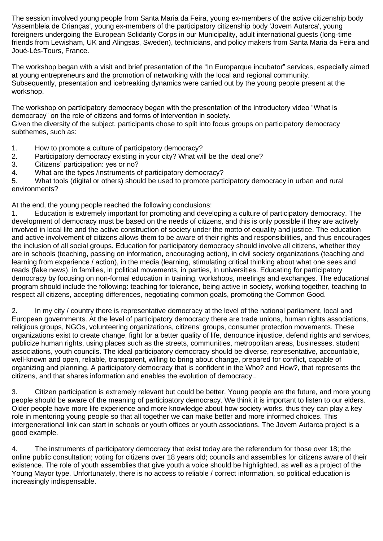The session involved young people from Santa Maria da Feira, young ex-members of the active citizenship body 'Assembleia de Crianças', young ex-members of the participatory citizenship body 'Jovem Autarca', young foreigners undergoing the European Solidarity Corps in our Municipality, adult international guests (long-time friends from Lewisham, UK and Alingsas, Sweden), technicians, and policy makers from Santa Maria da Feira and Joué-Lès-Tours, France.

The workshop began with a visit and brief presentation of the "In Europarque incubator" services, especially aimed at young entrepreneurs and the promotion of networking with the local and regional community. Subsequently, presentation and icebreaking dynamics were carried out by the young people present at the workshop.

The workshop on participatory democracy began with the presentation of the introductory video "What is democracy" on the role of citizens and forms of intervention in society.

Given the diversity of the subject, participants chose to split into focus groups on participatory democracy subthemes, such as:

- 1. How to promote a culture of participatory democracy?
- 2. Participatory democracy existing in your city? What will be the ideal one?
- 3. Citizens' participation: yes or no?
- 4. What are the types /instruments of participatory democracy?

5. What tools (digital or others) should be used to promote participatory democracy in urban and rural environments?

At the end, the young people reached the following conclusions:

1. Education is extremely important for promoting and developing a culture of participatory democracy. The development of democracy must be based on the needs of citizens, and this is only possible if they are actively involved in local life and the active construction of society under the motto of equality and justice. The education and active involvement of citizens allows them to be aware of their rights and responsibilities, and thus encourages the inclusion of all social groups. Education for participatory democracy should involve all citizens, whether they are in schools (teaching, passing on information, encouraging action), in civil society organizations (teaching and learning from experience / action), in the media (learning, stimulating critical thinking about what one sees and reads (fake news), in families, in political movements, in parties, in universities. Educating for participatory democracy by focusing on non-formal education in training, workshops, meetings and exchanges. The educational program should include the following: teaching for tolerance, being active in society, working together, teaching to respect all citizens, accepting differences, negotiating common goals, promoting the Common Good.

2. In my city / country there is representative democracy at the level of the national parliament, local and European governments. At the level of participatory democracy there are trade unions, human rights associations, religious groups, NGOs, volunteering organizations, citizens' groups, consumer protection movements. These organizations exist to create change, fight for a better quality of life, denounce injustice, defend rights and services, publicize human rights, using places such as the streets, communities, metropolitan areas, businesses, student associations, youth councils. The ideal participatory democracy should be diverse, representative, accountable, well-known and open, reliable, transparent, willing to bring about change, prepared for conflict, capable of organizing and planning. A participatory democracy that is confident in the Who? and How?, that represents the citizens, and that shares information and enables the evolution of democracy..

3. Citizen participation is extremely relevant but could be better. Young people are the future, and more young people should be aware of the meaning of participatory democracy. We think it is important to listen to our elders. Older people have more life experience and more knowledge about how society works, thus they can play a key role in mentoring young people so that all together we can make better and more informed choices. This intergenerational link can start in schools or youth offices or youth associations. The Jovem Autarca project is a good example.

4. The instruments of participatory democracy that exist today are the referendum for those over 18; the online public consultation; voting for citizens over 18 years old; councils and assemblies for citizens aware of their existence. The role of youth assemblies that give youth a voice should be highlighted, as well as a project of the Young Mayor type. Unfortunately, there is no access to reliable / correct information, so political education is increasingly indispensable.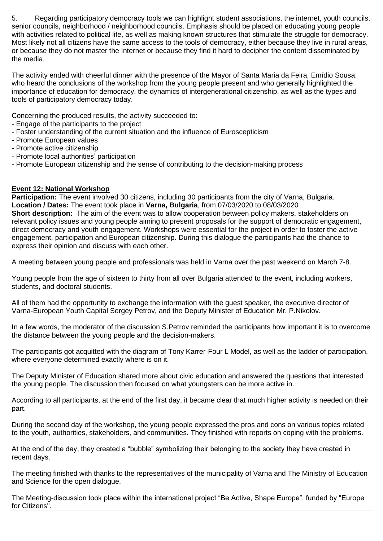5. Regarding participatory democracy tools we can highlight student associations, the internet, youth councils, senior councils, neighborhood / neighborhood councils. Emphasis should be placed on educating young people with activities related to political life, as well as making known structures that stimulate the struggle for democracy. Most likely not all citizens have the same access to the tools of democracy, either because they live in rural areas, or because they do not master the Internet or because they find it hard to decipher the content disseminated by the media.

The activity ended with cheerful dinner with the presence of the Mayor of Santa Maria da Feira, Emídio Sousa, who heard the conclusions of the workshop from the young people present and who generally highlighted the importance of education for democracy, the dynamics of intergenerational citizenship, as well as the types and tools of participatory democracy today.

Concerning the produced results, the activity succeeded to:

- Engage of the participants to the project
- Foster understanding of the current situation and the influence of Euroscepticism
- Promote European values
- Promote active citizenship
- Promote local authorities' participation
- Promote European citizenship and the sense of contributing to the decision-making process

## **Event 12: National Workshop**

**Participation:** The event involved 30 citizens, including 30 participants from the city of Varna, Bulgaria. **Location / Dates:** The event took place in **Varna, Bulgaria**, from 07/03/2020 to 08/03/2020 **Short description:** The aim of the event was to allow cooperation between policy makers, stakeholders on relevant policy issues and young people aiming to present proposals for the support of democratic engagement, direct democracy and youth engagement. Workshops were essential for the project in order to foster the active engagement, participation and European citizenship. During this dialogue the participants had the chance to express their opinion and discuss with each other.

A meeting between young people and professionals was held in Varna over the past weekend on March 7-8.

Young people from the age of sixteen to thirty from all over Bulgaria attended to the event, including workers, students, and doctoral students.

All of them had the opportunity to exchange the information with the guest speaker, the executive director of Varna-European Youth Capital Sergey Petrov, and the Deputy Minister of Education Mr. P.Nikolov.

In a few words, the moderator of the discussion S.Petrov reminded the participants how important it is to overcome the distance between the young people and the decision-makers.

The participants got acquitted with the diagram of Tony Karrer-Four L Model, as well as the ladder of participation, where everyone determined exactly where is on it.

The Deputy Minister of Education shared more about civic education and answered the questions that interested the young people. The discussion then focused on what youngsters can be more active in.

According to all participants, at the end of the first day, it became clear that much higher activity is needed on their part.

During the second day of the workshop, the young people expressed the pros and cons on various topics related to the youth, authorities, stakeholders, and communities. They finished with reports on coping with the problems.

At the end of the day, they created a "bubble" symbolizing their belonging to the society they have created in recent days.

The meeting finished with thanks to the representatives of the municipality of Varna and The Ministry of Education and Science for the open dialogue.

The Meeting-discussion took place within the international project "Be Active, Shape Europe", funded by "Europe for Citizens".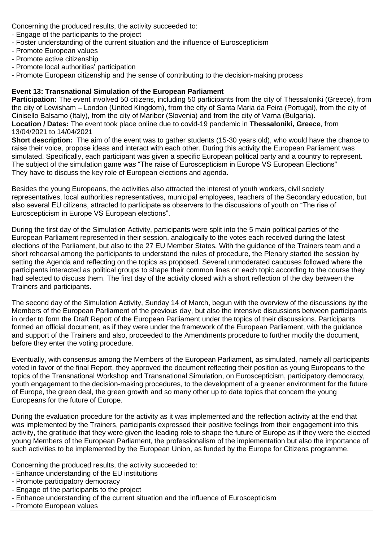Concerning the produced results, the activity succeeded to:

- Engage of the participants to the project
- Foster understanding of the current situation and the influence of Euroscepticism
- Promote European values
- Promote active citizenship
- Promote local authorities' participation
- Promote European citizenship and the sense of contributing to the decision-making process

## **Event 13: Transnational Simulation of the European Parliament**

**Participation:** The event involved 50 citizens, including 50 participants from the city of Thessaloniki (Greece), from the city of Lewisham – London (United Kingdom), from the city of Santa Maria da Feira (Portugal), from the city of Cinisello Balsamo (Italy), from the city of Maribor (Slovenia) and from the city of Varna (Bulgaria). **Location / Dates:** The event took place online due to covid-19 pandemic in **Thessaloniki, Greece**, from 13/04/2021 to 14/04/2021

**Short description:** The aim of the event was to gather students (15-30 years old), who would have the chance to raise their voice, propose ideas and interact with each other. During this activity the European Parliament was simulated. Specifically, each participant was given a specific European political party and a country to represent. The subject of the simulation game was "The raise of Euroscepticism in Europe VS European Elections" They have to discuss the key role of European elections and agenda.

Besides the young Europeans, the activities also attracted the interest of youth workers, civil society representatives, local authorities representatives, municipal employees, teachers of the Secondary education, but also several EU citizens, attracted to participate as observers to the discussions of youth on "The rise of Euroscepticism in Europe VS European elections".

During the first day of the Simulation Activity, participants were split into the 5 main political parties of the European Parliament represented in their session, analogically to the votes each received during the latest elections of the Parliament, but also to the 27 EU Member States. With the guidance of the Trainers team and a short rehearsal among the participants to understand the rules of procedure, the Plenary started the session by setting the Agenda and reflecting on the topics as proposed. Several unmoderated caucuses followed where the participants interacted as political groups to shape their common lines on each topic according to the course they had selected to discuss them. The first day of the activity closed with a short reflection of the day between the Trainers and participants.

The second day of the Simulation Activity, Sunday 14 of March, begun with the overview of the discussions by the Members of the European Parliament of the previous day, but also the intensive discussions between participants in order to form the Draft Report of the European Parliament under the topics of their discussions. Participants formed an official document, as if they were under the framework of the European Parliament, with the guidance and support of the Trainers and also, proceeded to the Amendments procedure to further modify the document, before they enter the voting procedure.

Eventually, with consensus among the Members of the European Parliament, as simulated, namely all participants voted in favor of the final Report, they approved the document reflecting their position as young Europeans to the topics of the Transnational Workshop and Transnational Simulation, on Euroscepticism, participatory democracy, youth engagement to the decision-making procedures, to the development of a greener environment for the future of Europe, the green deal, the green growth and so many other up to date topics that concern the young Europeans for the future of Europe.

During the evaluation procedure for the activity as it was implemented and the reflection activity at the end that was implemented by the Trainers, participants expressed their positive feelings from their engagement into this activity, the gratitude that they were given the leading role to shape the future of Europe as if they were the elected young Members of the European Parliament, the professionalism of the implementation but also the importance of such activities to be implemented by the European Union, as funded by the Europe for Citizens programme.

Concerning the produced results, the activity succeeded to:

- Enhance understanding of the EU institutions
- Promote participatory democracy
- Engage of the participants to the project
- Enhance understanding of the current situation and the influence of Euroscepticism
- Promote European values